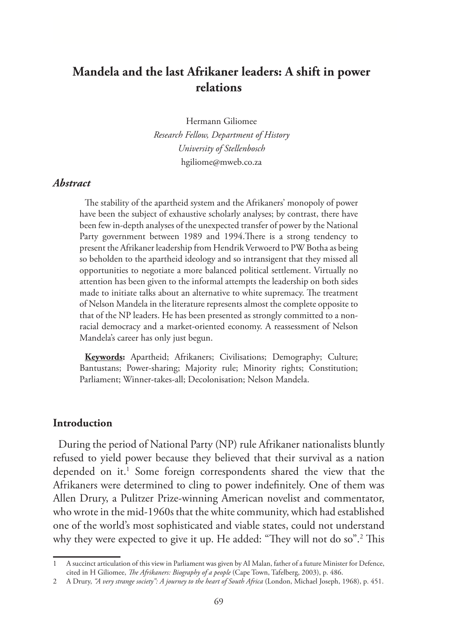# **Mandela and the last Afrikaner leaders: A shift in power relations**

Hermann Giliomee *Research Fellow, Department of History University of Stellenbosch* hgiliome@mweb.co.za

#### *Abstract*

The stability of the apartheid system and the Afrikaners' monopoly of power have been the subject of exhaustive scholarly analyses; by contrast, there have been few in-depth analyses of the unexpected transfer of power by the National Party government between 1989 and 1994.There is a strong tendency to present the Afrikaner leadership from Hendrik Verwoerd to PW Botha as being so beholden to the apartheid ideology and so intransigent that they missed all opportunities to negotiate a more balanced political settlement. Virtually no attention has been given to the informal attempts the leadership on both sides made to initiate talks about an alternative to white supremacy. The treatment of Nelson Mandela in the literature represents almost the complete opposite to that of the NP leaders. He has been presented as strongly committed to a nonracial democracy and a market-oriented economy. A reassessment of Nelson Mandela's career has only just begun.

**Keywords:** Apartheid; Afrikaners; Civilisations; Demography; Culture; Bantustans; Power-sharing; Majority rule; Minority rights; Constitution; Parliament; Winner-takes-all; Decolonisation; Nelson Mandela.

#### **Introduction**

During the period of National Party (NP) rule Afrikaner nationalists bluntly refused to yield power because they believed that their survival as a nation depended on it.<sup>1</sup> Some foreign correspondents shared the view that the Afrikaners were determined to cling to power indefinitely. One of them was Allen Drury, a Pulitzer Prize-winning American novelist and commentator, who wrote in the mid-1960s that the white community, which had established one of the world's most sophisticated and viable states, could not understand why they were expected to give it up. He added: "They will not do so".2 This

<sup>1</sup> A succinct articulation of this view in Parliament was given by AI Malan, father of a future Minister for Defence, cited in H Giliomee, *The Afrikaners: Biography of a people* (Cape Town, Tafelberg, 2003), p. 486.

<sup>2</sup> A Drury, *"A very strange society": A journey to the heart of South Africa* (London, Michael Joseph, 1968), p. 451.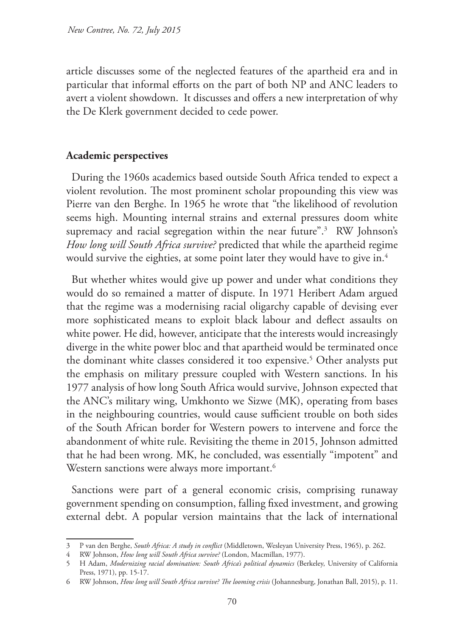article discusses some of the neglected features of the apartheid era and in particular that informal efforts on the part of both NP and ANC leaders to avert a violent showdown. It discusses and offers a new interpretation of why the De Klerk government decided to cede power.

#### **Academic perspectives**

During the 1960s academics based outside South Africa tended to expect a violent revolution. The most prominent scholar propounding this view was Pierre van den Berghe. In 1965 he wrote that "the likelihood of revolution seems high. Mounting internal strains and external pressures doom white supremacy and racial segregation within the near future".<sup>3</sup> RW Johnson's *How long will South Africa survive?* predicted that while the apartheid regime would survive the eighties, at some point later they would have to give in. $^4$ 

But whether whites would give up power and under what conditions they would do so remained a matter of dispute. In 1971 Heribert Adam argued that the regime was a modernising racial oligarchy capable of devising ever more sophisticated means to exploit black labour and deflect assaults on white power. He did, however, anticipate that the interests would increasingly diverge in the white power bloc and that apartheid would be terminated once the dominant white classes considered it too expensive.<sup>5</sup> Other analysts put the emphasis on military pressure coupled with Western sanctions. In his 1977 analysis of how long South Africa would survive, Johnson expected that the ANC's military wing, Umkhonto we Sizwe (MK), operating from bases in the neighbouring countries, would cause sufficient trouble on both sides of the South African border for Western powers to intervene and force the abandonment of white rule. Revisiting the theme in 2015, Johnson admitted that he had been wrong. MK, he concluded, was essentially "impotent" and Western sanctions were always more important.<sup>6</sup>

Sanctions were part of a general economic crisis, comprising runaway government spending on consumption, falling fixed investment, and growing external debt. A popular version maintains that the lack of international

<sup>3</sup> P van den Berghe, *South Africa: A study in conflict* (Middletown, Wesleyan University Press, 1965), p. 262.

<sup>4</sup> RW Johnson, *How long will South Africa survive?* (London, Macmillan, 1977).

<sup>5</sup> H Adam, *Modernizing racial domination: South Africa's political dynamics* (Berkeley, University of California Press, 1971), pp. 15-17.

<sup>6</sup> RW Johnson, *How long will South Africa survive? The looming crisis* (Johannesburg, Jonathan Ball, 2015), p. 11.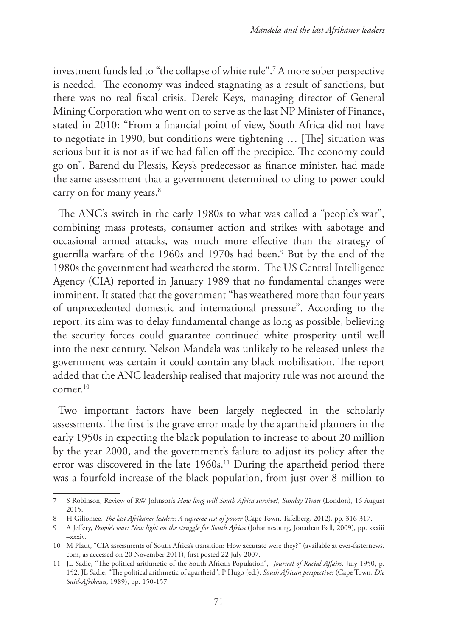investment funds led to "the collapse of white rule".7 A more sober perspective is needed. The economy was indeed stagnating as a result of sanctions, but there was no real fiscal crisis. Derek Keys, managing director of General Mining Corporation who went on to serve as the last NP Minister of Finance, stated in 2010: "From a financial point of view, South Africa did not have to negotiate in 1990, but conditions were tightening … [The] situation was serious but it is not as if we had fallen off the precipice. The economy could go on". Barend du Plessis, Keys's predecessor as finance minister, had made the same assessment that a government determined to cling to power could carry on for many years.<sup>8</sup>

The ANC's switch in the early 1980s to what was called a "people's war", combining mass protests, consumer action and strikes with sabotage and occasional armed attacks, was much more effective than the strategy of guerrilla warfare of the 1960s and 1970s had been.9 But by the end of the 1980s the government had weathered the storm. The US Central Intelligence Agency (CIA) reported in January 1989 that no fundamental changes were imminent. It stated that the government "has weathered more than four years of unprecedented domestic and international pressure". According to the report, its aim was to delay fundamental change as long as possible, believing the security forces could guarantee continued white prosperity until well into the next century. Nelson Mandela was unlikely to be released unless the government was certain it could contain any black mobilisation. The report added that the ANC leadership realised that majority rule was not around the corner.10

Two important factors have been largely neglected in the scholarly assessments. The first is the grave error made by the apartheid planners in the early 1950s in expecting the black population to increase to about 20 million by the year 2000, and the government's failure to adjust its policy after the error was discovered in the late 1960s.<sup>11</sup> During the apartheid period there was a fourfold increase of the black population, from just over 8 million to

<sup>7</sup> S Robinson, Review of RW Johnson's *How long will South Africa survive?, Sunday Times* (London), 16 August 2015.

<sup>8</sup> H Giliomee, *The last Afrikaner leaders: A supreme test of power* (Cape Town, Tafelberg, 2012), pp. 316-317.

<sup>9</sup> A Jeffery, *People's war: New light on the struggle for South Africa* (Johannesburg, Jonathan Ball, 2009), pp. xxxiii –xxxiv.

<sup>10</sup> M Plaut, "CIA assessments of South Africa's transition: How accurate were they?" (available at ever-fasternews. com, as accessed on 20 November 2011), first posted 22 July 2007.

<sup>11</sup> JL Sadie, "The political arithmetic of the South African Population", *Journal of Racial Affairs,* July 1950, p. 152; JL Sadie, "The political arithmetic of apartheid", P Hugo (ed.), *South African perspectives* (Cape Town, *Die Suid-Afrikaan*, 1989), pp. 150-157.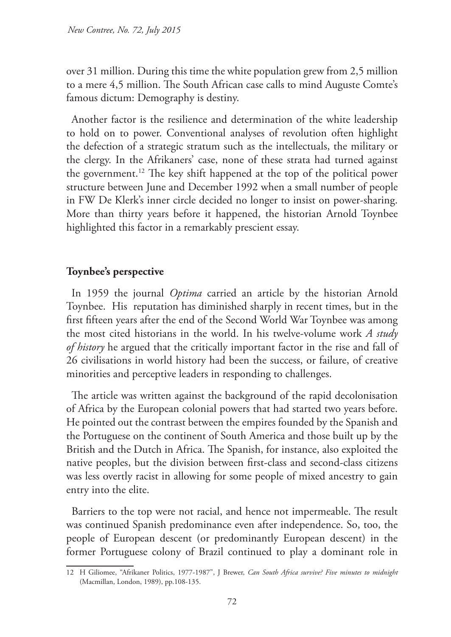over 31 million. During this time the white population grew from 2,5 million to a mere 4,5 million. The South African case calls to mind Auguste Comte's famous dictum: Demography is destiny.

Another factor is the resilience and determination of the white leadership to hold on to power. Conventional analyses of revolution often highlight the defection of a strategic stratum such as the intellectuals, the military or the clergy. In the Afrikaners' case, none of these strata had turned against the government.12 The key shift happened at the top of the political power structure between June and December 1992 when a small number of people in FW De Klerk's inner circle decided no longer to insist on power-sharing. More than thirty years before it happened, the historian Arnold Toynbee highlighted this factor in a remarkably prescient essay.

### **Toynbee's perspective**

In 1959 the journal *Optima* carried an article by the historian Arnold Toynbee. His reputation has diminished sharply in recent times, but in the first fifteen years after the end of the Second World War Toynbee was among the most cited historians in the world. In his twelve-volume work *A study of history* he argued that the critically important factor in the rise and fall of 26 civilisations in world history had been the success, or failure, of creative minorities and perceptive leaders in responding to challenges.

The article was written against the background of the rapid decolonisation of Africa by the European colonial powers that had started two years before. He pointed out the contrast between the empires founded by the Spanish and the Portuguese on the continent of South America and those built up by the British and the Dutch in Africa. The Spanish, for instance, also exploited the native peoples, but the division between first-class and second-class citizens was less overtly racist in allowing for some people of mixed ancestry to gain entry into the elite.

Barriers to the top were not racial, and hence not impermeable. The result was continued Spanish predominance even after independence. So, too, the people of European descent (or predominantly European descent) in the former Portuguese colony of Brazil continued to play a dominant role in

<sup>12</sup> H Giliomee, "Afrikaner Politics, 1977-1987", J Brewer, *Can South Africa survive? Five minutes to midnight* (Macmillan, London, 1989), pp.108-135.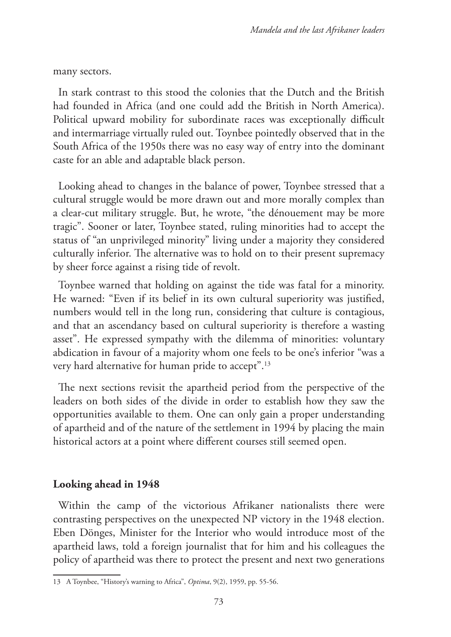many sectors.

In stark contrast to this stood the colonies that the Dutch and the British had founded in Africa (and one could add the British in North America). Political upward mobility for subordinate races was exceptionally difficult and intermarriage virtually ruled out. Toynbee pointedly observed that in the South Africa of the 1950s there was no easy way of entry into the dominant caste for an able and adaptable black person.

Looking ahead to changes in the balance of power, Toynbee stressed that a cultural struggle would be more drawn out and more morally complex than a clear-cut military struggle. But, he wrote, "the dénouement may be more tragic". Sooner or later, Toynbee stated, ruling minorities had to accept the status of "an unprivileged minority" living under a majority they considered culturally inferior. The alternative was to hold on to their present supremacy by sheer force against a rising tide of revolt.

Toynbee warned that holding on against the tide was fatal for a minority. He warned: "Even if its belief in its own cultural superiority was justified, numbers would tell in the long run, considering that culture is contagious, and that an ascendancy based on cultural superiority is therefore a wasting asset". He expressed sympathy with the dilemma of minorities: voluntary abdication in favour of a majority whom one feels to be one's inferior "was a very hard alternative for human pride to accept".13

The next sections revisit the apartheid period from the perspective of the leaders on both sides of the divide in order to establish how they saw the opportunities available to them. One can only gain a proper understanding of apartheid and of the nature of the settlement in 1994 by placing the main historical actors at a point where different courses still seemed open.

# **Looking ahead in 1948**

Within the camp of the victorious Afrikaner nationalists there were contrasting perspectives on the unexpected NP victory in the 1948 election. Eben Dönges, Minister for the Interior who would introduce most of the apartheid laws, told a foreign journalist that for him and his colleagues the policy of apartheid was there to protect the present and next two generations

<sup>13</sup> A Toynbee, "History's warning to Africa", *Optima*, 9(2), 1959, pp. 55-56.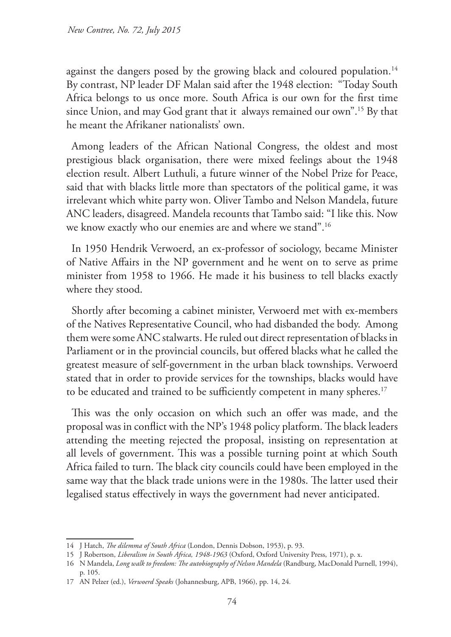against the dangers posed by the growing black and coloured population.<sup>14</sup> By contrast, NP leader DF Malan said after the 1948 election: "Today South Africa belongs to us once more. South Africa is our own for the first time since Union, and may God grant that it always remained our own".15 By that he meant the Afrikaner nationalists' own.

Among leaders of the African National Congress, the oldest and most prestigious black organisation, there were mixed feelings about the 1948 election result. Albert Luthuli, a future winner of the Nobel Prize for Peace, said that with blacks little more than spectators of the political game, it was irrelevant which white party won. Oliver Tambo and Nelson Mandela, future ANC leaders, disagreed. Mandela recounts that Tambo said: "I like this. Now we know exactly who our enemies are and where we stand".16

In 1950 Hendrik Verwoerd, an ex-professor of sociology, became Minister of Native Affairs in the NP government and he went on to serve as prime minister from 1958 to 1966. He made it his business to tell blacks exactly where they stood.

Shortly after becoming a cabinet minister, Verwoerd met with ex-members of the Natives Representative Council, who had disbanded the body. Among them were some ANC stalwarts. He ruled out direct representation of blacks in Parliament or in the provincial councils, but offered blacks what he called the greatest measure of self-government in the urban black townships. Verwoerd stated that in order to provide services for the townships, blacks would have to be educated and trained to be sufficiently competent in many spheres.<sup>17</sup>

This was the only occasion on which such an offer was made, and the proposal was in conflict with the NP's 1948 policy platform. The black leaders attending the meeting rejected the proposal, insisting on representation at all levels of government. This was a possible turning point at which South Africa failed to turn. The black city councils could have been employed in the same way that the black trade unions were in the 1980s. The latter used their legalised status effectively in ways the government had never anticipated.

<sup>14</sup> J Hatch, *The dilemma of South Africa* (London, Dennis Dobson, 1953), p. 93.

<sup>15</sup> J Robertson, *Liberalism in South Africa, 1948-1963* (Oxford, Oxford University Press, 1971), p. x.

<sup>16</sup> N Mandela, *Long walk to freedom: The autobiography of Nelson Mandela* (Randburg, MacDonald Purnell, 1994), p. 105.

<sup>17</sup> AN Pelzer (ed.), *Verwoerd Speaks* (Johannesburg, APB, 1966), pp. 14, 24*.*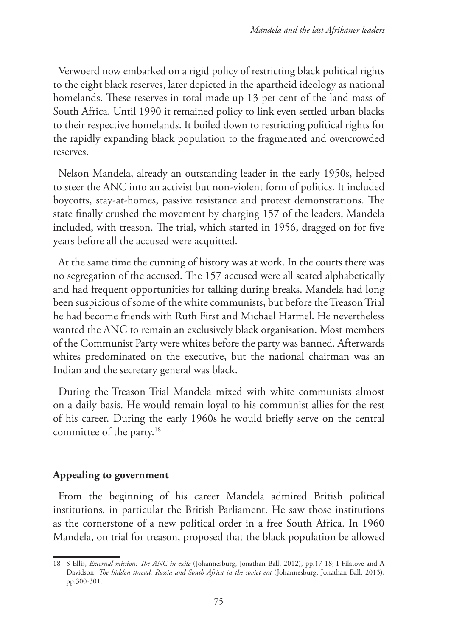Verwoerd now embarked on a rigid policy of restricting black political rights to the eight black reserves, later depicted in the apartheid ideology as national homelands. These reserves in total made up 13 per cent of the land mass of South Africa. Until 1990 it remained policy to link even settled urban blacks to their respective homelands. It boiled down to restricting political rights for the rapidly expanding black population to the fragmented and overcrowded reserves.

Nelson Mandela, already an outstanding leader in the early 1950s, helped to steer the ANC into an activist but non-violent form of politics. It included boycotts, stay-at-homes, passive resistance and protest demonstrations. The state finally crushed the movement by charging 157 of the leaders, Mandela included, with treason. The trial, which started in 1956, dragged on for five years before all the accused were acquitted.

At the same time the cunning of history was at work. In the courts there was no segregation of the accused. The 157 accused were all seated alphabetically and had frequent opportunities for talking during breaks. Mandela had long been suspicious of some of the white communists, but before the Treason Trial he had become friends with Ruth First and Michael Harmel. He nevertheless wanted the ANC to remain an exclusively black organisation. Most members of the Communist Party were whites before the party was banned. Afterwards whites predominated on the executive, but the national chairman was an Indian and the secretary general was black.

During the Treason Trial Mandela mixed with white communists almost on a daily basis. He would remain loyal to his communist allies for the rest of his career. During the early 1960s he would briefly serve on the central committee of the party.<sup>18</sup>

# **Appealing to government**

From the beginning of his career Mandela admired British political institutions, in particular the British Parliament. He saw those institutions as the cornerstone of a new political order in a free South Africa. In 1960 Mandela, on trial for treason, proposed that the black population be allowed

<sup>18</sup> S Ellis, *External mission: The ANC in exile* (Johannesburg, Jonathan Ball, 2012), pp.17-18; I Filatove and A Davidson, *The hidden thread: Russia and South Africa in the soviet era* (Johannesburg, Jonathan Ball, 2013), pp.300-301.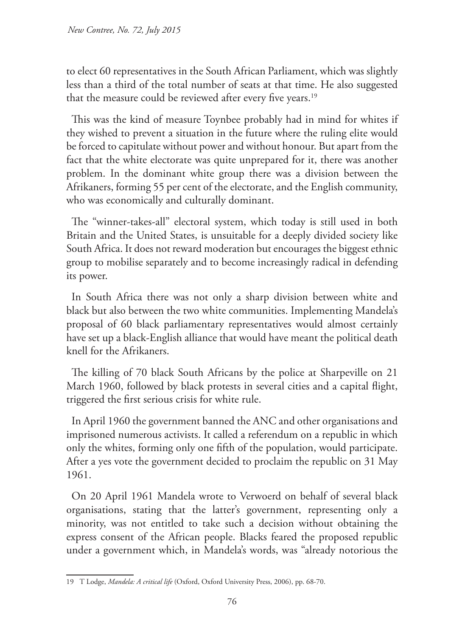to elect 60 representatives in the South African Parliament, which was slightly less than a third of the total number of seats at that time. He also suggested that the measure could be reviewed after every five years.<sup>19</sup>

This was the kind of measure Toynbee probably had in mind for whites if they wished to prevent a situation in the future where the ruling elite would be forced to capitulate without power and without honour. But apart from the fact that the white electorate was quite unprepared for it, there was another problem. In the dominant white group there was a division between the Afrikaners, forming 55 per cent of the electorate, and the English community, who was economically and culturally dominant.

The "winner-takes-all" electoral system, which today is still used in both Britain and the United States, is unsuitable for a deeply divided society like South Africa. It does not reward moderation but encourages the biggest ethnic group to mobilise separately and to become increasingly radical in defending its power.

In South Africa there was not only a sharp division between white and black but also between the two white communities. Implementing Mandela's proposal of 60 black parliamentary representatives would almost certainly have set up a black-English alliance that would have meant the political death knell for the Afrikaners.

The killing of 70 black South Africans by the police at Sharpeville on 21 March 1960, followed by black protests in several cities and a capital flight, triggered the first serious crisis for white rule.

In April 1960 the government banned the ANC and other organisations and imprisoned numerous activists. It called a referendum on a republic in which only the whites, forming only one fifth of the population, would participate. After a yes vote the government decided to proclaim the republic on 31 May 1961.

On 20 April 1961 Mandela wrote to Verwoerd on behalf of several black organisations, stating that the latter's government, representing only a minority, was not entitled to take such a decision without obtaining the express consent of the African people. Blacks feared the proposed republic under a government which, in Mandela's words, was "already notorious the

<sup>19</sup> T Lodge, *Mandela: A critical life* (Oxford, Oxford University Press, 2006), pp. 68-70.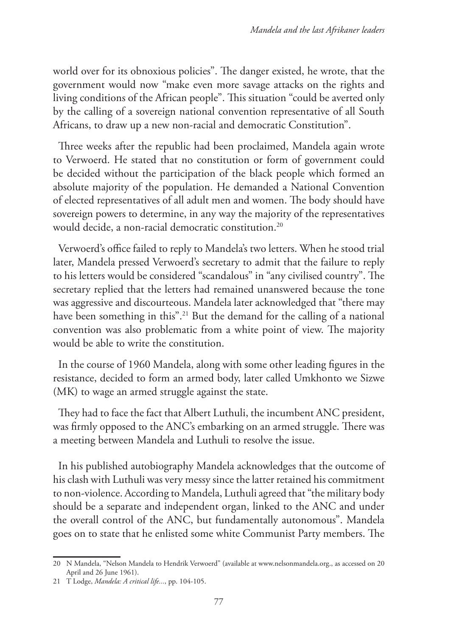world over for its obnoxious policies". The danger existed, he wrote, that the government would now "make even more savage attacks on the rights and living conditions of the African people". This situation "could be averted only by the calling of a sovereign national convention representative of all South Africans, to draw up a new non-racial and democratic Constitution".

Three weeks after the republic had been proclaimed, Mandela again wrote to Verwoerd. He stated that no constitution or form of government could be decided without the participation of the black people which formed an absolute majority of the population. He demanded a National Convention of elected representatives of all adult men and women. The body should have sovereign powers to determine, in any way the majority of the representatives would decide, a non-racial democratic constitution.<sup>20</sup>

Verwoerd's office failed to reply to Mandela's two letters. When he stood trial later, Mandela pressed Verwoerd's secretary to admit that the failure to reply to his letters would be considered "scandalous" in "any civilised country". The secretary replied that the letters had remained unanswered because the tone was aggressive and discourteous. Mandela later acknowledged that "there may have been something in this".<sup>21</sup> But the demand for the calling of a national convention was also problematic from a white point of view. The majority would be able to write the constitution.

In the course of 1960 Mandela, along with some other leading figures in the resistance, decided to form an armed body, later called Umkhonto we Sizwe (MK) to wage an armed struggle against the state.

They had to face the fact that Albert Luthuli, the incumbent ANC president, was firmly opposed to the ANC's embarking on an armed struggle. There was a meeting between Mandela and Luthuli to resolve the issue.

In his published autobiography Mandela acknowledges that the outcome of his clash with Luthuli was very messy since the latter retained his commitment to non-violence. According to Mandela, Luthuli agreed that "the military body should be a separate and independent organ, linked to the ANC and under the overall control of the ANC, but fundamentally autonomous". Mandela goes on to state that he enlisted some white Communist Party members. The

<sup>20</sup> N Mandela, "Nelson Mandela to Hendrik Verwoerd" (available at www.nelsonmandela.org., as accessed on 20 April and 26 June 1961).

<sup>21</sup> T Lodge, *Mandela: A critical life...*, pp. 104-105.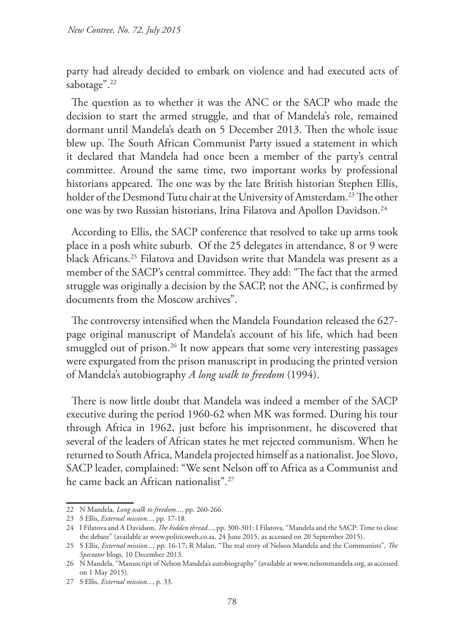party had already decided to embark on violence and had executed acts of sabotage".<sup>22</sup>

The question as to whether it was the ANC or the SACP who made the decision to start the armed struggle, and that of Mandela's role, remained dormant until Mandela's death on 5 December 2013. Then the whole issue blew up. The South African Communist Party issued a statement in which it declared that Mandela had once been a member of the party's central committee. Around the same time, two important works by professional historians appeared. The one was by the late British historian Stephen Ellis, holder of the Desmond Tutu chair at the University of Amsterdam.<sup>23</sup> The other one was by two Russian historians, Irina Filatova and Apollon Davidson.<sup>24</sup>

According to Ellis, the SACP conference that resolved to take up arms took place in a posh white suburb. Of the 25 delegates in attendance, 8 or 9 were black Africans.<sup>25</sup> Filatova and Davidson write that Mandela was present as a member of the SACP's central committee. They add: "The fact that the armed struggle was originally a decision by the SACP, not the ANC, is confirmed by documents from the Moscow archives".

The controversy intensified when the Mandela Foundation released the 627 page original manuscript of Mandela's account of his life, which had been smuggled out of prison.<sup>26</sup> It now appears that some very interesting passages were expurgated from the prison manuscript in producing the printed version of Mandela's autobiography *A long walk to freedom* (1994).

There is now little doubt that Mandela was indeed a member of the SACP executive during the period 1960-62 when MK was formed. During his tour through Africa in 1962, just before his imprisonment, he discovered that several of the leaders of African states he met rejected communism. When he returned to South Africa, Mandela projected himself as a nationalist. Joe Slovo, SACP leader, complained: "We sent Nelson off to Africa as a Communist and he came back an African nationalist".27

<sup>22</sup> N Mandela, *Long walk to freedom...*, pp. 260-266.

<sup>23</sup> S Ellis, *External mission...*, pp. 17-18.

<sup>24</sup> I Filatova and A Davidson, *The hidden thread..*., pp. 300-301; I Filatova, "Mandela and the SACP: Time to close the debate" (available at www.politicsweb.co.za, 24 June 2015, as accessed on 20 September 2015).

<sup>25</sup> S Ellis, *External mission...*, pp. 16-17; R Malan, "The real story of Nelson Mandela and the Communists", *The Spectator* blogs, 10 December 2013.

<sup>26</sup> N Mandela, "Manuscript of Nelson Mandela's autobiography" (available at www.nelsonmandela.org, as accessed on 1 May 2015).

<sup>27</sup> S Ellis, *External mission...*, p. 33.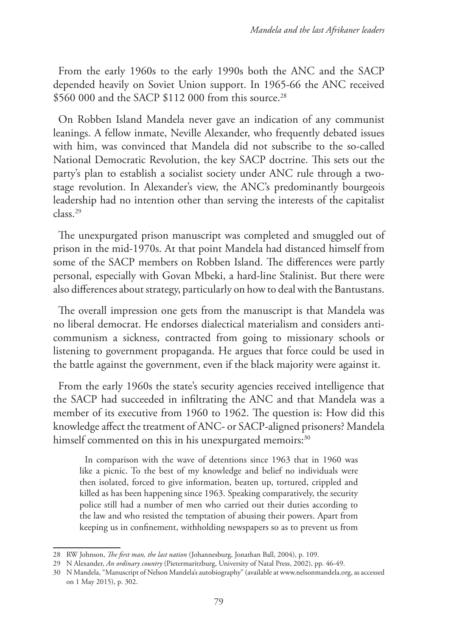From the early 1960s to the early 1990s both the ANC and the SACP depended heavily on Soviet Union support. In 1965-66 the ANC received \$560 000 and the SACP \$112 000 from this source.<sup>28</sup>

On Robben Island Mandela never gave an indication of any communist leanings. A fellow inmate, Neville Alexander, who frequently debated issues with him, was convinced that Mandela did not subscribe to the so-called National Democratic Revolution, the key SACP doctrine. This sets out the party's plan to establish a socialist society under ANC rule through a twostage revolution. In Alexander's view, the ANC's predominantly bourgeois leadership had no intention other than serving the interests of the capitalist class.29

The unexpurgated prison manuscript was completed and smuggled out of prison in the mid-1970s. At that point Mandela had distanced himself from some of the SACP members on Robben Island. The differences were partly personal, especially with Govan Mbeki, a hard-line Stalinist. But there were also differences about strategy, particularly on how to deal with the Bantustans.

The overall impression one gets from the manuscript is that Mandela was no liberal democrat. He endorses dialectical materialism and considers anticommunism a sickness, contracted from going to missionary schools or listening to government propaganda. He argues that force could be used in the battle against the government, even if the black majority were against it.

From the early 1960s the state's security agencies received intelligence that the SACP had succeeded in infiltrating the ANC and that Mandela was a member of its executive from 1960 to 1962. The question is: How did this knowledge affect the treatment of ANC- or SACP-aligned prisoners? Mandela himself commented on this in his unexpurgated memoirs:<sup>30</sup>

In comparison with the wave of detentions since 1963 that in 1960 was like a picnic. To the best of my knowledge and belief no individuals were then isolated, forced to give information, beaten up, tortured, crippled and killed as has been happening since 1963. Speaking comparatively, the security police still had a number of men who carried out their duties according to the law and who resisted the temptation of abusing their powers. Apart from keeping us in confinement, withholding newspapers so as to prevent us from

<sup>28</sup> RW Johnson, *The first man, the last nation* (Johannesburg, Jonathan Ball, 2004), p. 109.

<sup>29</sup> N Alexander, *An ordinary country* (Pietermaritzburg, University of Natal Press, 2002), pp. 46-49.

<sup>30</sup> N Mandela, "Manuscript of Nelson Mandela's autobiography" (available at www.nelsonmandela.org, as accessed on 1 May 2015), p. 302.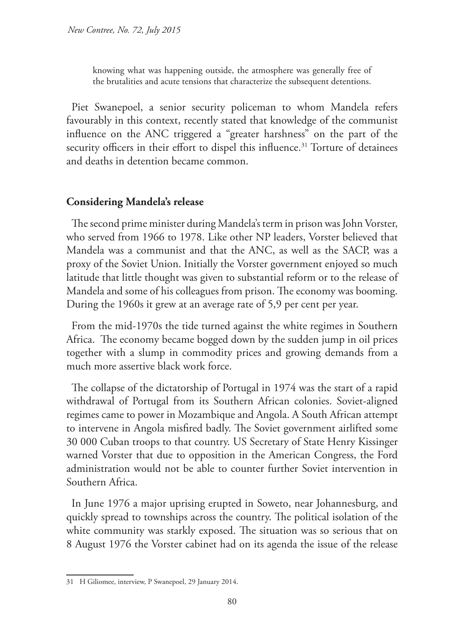knowing what was happening outside, the atmosphere was generally free of the brutalities and acute tensions that characterize the subsequent detentions.

Piet Swanepoel, a senior security policeman to whom Mandela refers favourably in this context, recently stated that knowledge of the communist influence on the ANC triggered a "greater harshness" on the part of the security officers in their effort to dispel this influence.<sup>31</sup> Torture of detainees and deaths in detention became common.

# **Considering Mandela's release**

The second prime minister during Mandela's term in prison was John Vorster, who served from 1966 to 1978. Like other NP leaders, Vorster believed that Mandela was a communist and that the ANC, as well as the SACP, was a proxy of the Soviet Union. Initially the Vorster government enjoyed so much latitude that little thought was given to substantial reform or to the release of Mandela and some of his colleagues from prison. The economy was booming. During the 1960s it grew at an average rate of 5,9 per cent per year.

From the mid-1970s the tide turned against the white regimes in Southern Africa. The economy became bogged down by the sudden jump in oil prices together with a slump in commodity prices and growing demands from a much more assertive black work force.

The collapse of the dictatorship of Portugal in 1974 was the start of a rapid withdrawal of Portugal from its Southern African colonies. Soviet-aligned regimes came to power in Mozambique and Angola. A South African attempt to intervene in Angola misfired badly. The Soviet government airlifted some 30 000 Cuban troops to that country. US Secretary of State Henry Kissinger warned Vorster that due to opposition in the American Congress, the Ford administration would not be able to counter further Soviet intervention in Southern Africa.

In June 1976 a major uprising erupted in Soweto, near Johannesburg, and quickly spread to townships across the country. The political isolation of the white community was starkly exposed. The situation was so serious that on 8 August 1976 the Vorster cabinet had on its agenda the issue of the release

<sup>31</sup> H Giliomee, interview, P Swanepoel, 29 January 2014.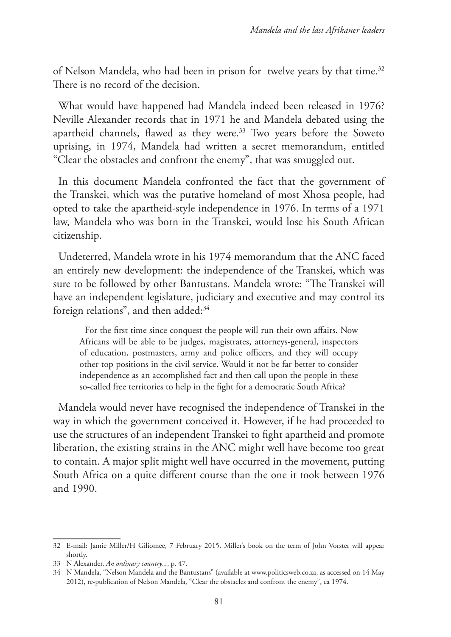of Nelson Mandela, who had been in prison for twelve years by that time.<sup>32</sup> There is no record of the decision.

What would have happened had Mandela indeed been released in 1976? Neville Alexander records that in 1971 he and Mandela debated using the apartheid channels, flawed as they were.<sup>33</sup> Two years before the Soweto uprising, in 1974, Mandela had written a secret memorandum, entitled "Clear the obstacles and confront the enemy", that was smuggled out.

In this document Mandela confronted the fact that the government of the Transkei, which was the putative homeland of most Xhosa people, had opted to take the apartheid-style independence in 1976. In terms of a 1971 law, Mandela who was born in the Transkei, would lose his South African citizenship.

Undeterred, Mandela wrote in his 1974 memorandum that the ANC faced an entirely new development: the independence of the Transkei, which was sure to be followed by other Bantustans. Mandela wrote: "The Transkei will have an independent legislature, judiciary and executive and may control its foreign relations", and then added:<sup>34</sup>

For the first time since conquest the people will run their own affairs. Now Africans will be able to be judges, magistrates, attorneys-general, inspectors of education, postmasters, army and police officers, and they will occupy other top positions in the civil service. Would it not be far better to consider independence as an accomplished fact and then call upon the people in these so-called free territories to help in the fight for a democratic South Africa?

Mandela would never have recognised the independence of Transkei in the way in which the government conceived it. However, if he had proceeded to use the structures of an independent Transkei to fight apartheid and promote liberation, the existing strains in the ANC might well have become too great to contain. A major split might well have occurred in the movement, putting South Africa on a quite different course than the one it took between 1976 and 1990.

<sup>32</sup> E-mail: Jamie Miller/H Giliomee, 7 February 2015. Miller's book on the term of John Vorster will appear shortly.

<sup>33</sup> N Alexander, *An ordinary country...*, p. 47.

<sup>34</sup> N Mandela, "Nelson Mandela and the Bantustans" (available at www.politicsweb.co.za, as accessed on 14 May 2012), re-publication of Nelson Mandela, "Clear the obstacles and confront the enemy", ca 1974.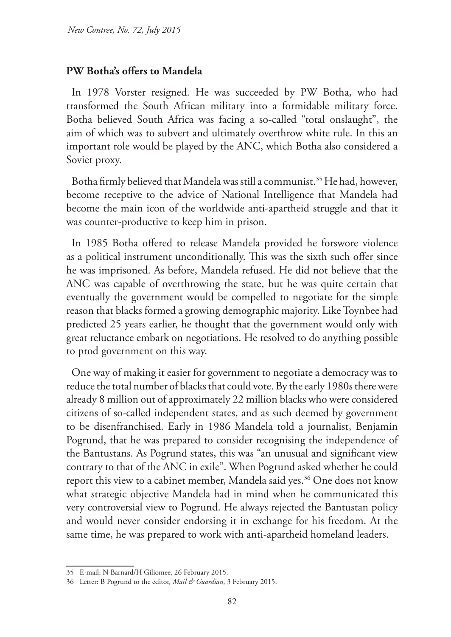#### **PW Botha's offers to Mandela**

In 1978 Vorster resigned. He was succeeded by PW Botha, who had transformed the South African military into a formidable military force. Botha believed South Africa was facing a so-called "total onslaught", the aim of which was to subvert and ultimately overthrow white rule. In this an important role would be played by the ANC, which Botha also considered a Soviet proxy.

Botha firmly believed that Mandela was still a communist.<sup>35</sup> He had, however, become receptive to the advice of National Intelligence that Mandela had become the main icon of the worldwide anti-apartheid struggle and that it was counter-productive to keep him in prison.

In 1985 Botha offered to release Mandela provided he forswore violence as a political instrument unconditionally. This was the sixth such offer since he was imprisoned. As before, Mandela refused. He did not believe that the ANC was capable of overthrowing the state, but he was quite certain that eventually the government would be compelled to negotiate for the simple reason that blacks formed a growing demographic majority. Like Toynbee had predicted 25 years earlier, he thought that the government would only with great reluctance embark on negotiations. He resolved to do anything possible to prod government on this way.

One way of making it easier for government to negotiate a democracy was to reduce the total number of blacks that could vote. By the early 1980s there were already 8 million out of approximately 22 million blacks who were considered citizens of so-called independent states, and as such deemed by government to be disenfranchised. Early in 1986 Mandela told a journalist, Benjamin Pogrund, that he was prepared to consider recognising the independence of the Bantustans. As Pogrund states, this was "an unusual and significant view contrary to that of the ANC in exile". When Pogrund asked whether he could report this view to a cabinet member, Mandela said yes.<sup>36</sup> One does not know what strategic objective Mandela had in mind when he communicated this very controversial view to Pogrund. He always rejected the Bantustan policy and would never consider endorsing it in exchange for his freedom. At the same time, he was prepared to work with anti-apartheid homeland leaders.

<sup>35</sup> E-mail: N Barnard/H Giliomee, 26 February 2015.

<sup>36</sup> Letter: B Pogrund to the editor, *Mail & Guardian*, 3 February 2015.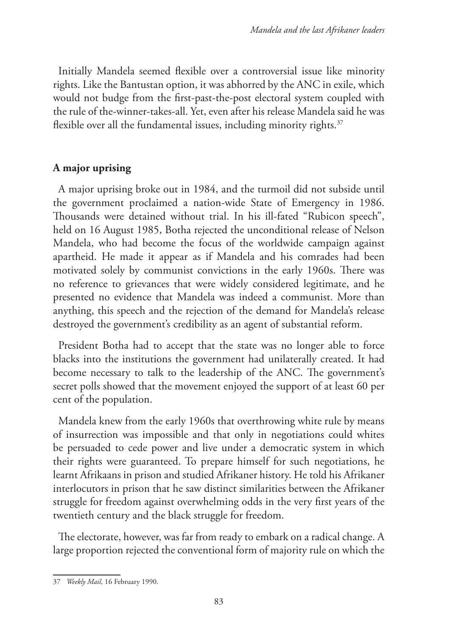Initially Mandela seemed flexible over a controversial issue like minority rights. Like the Bantustan option, it was abhorred by the ANC in exile, which would not budge from the first-past-the-post electoral system coupled with the rule of the-winner-takes-all. Yet, even after his release Mandela said he was flexible over all the fundamental issues, including minority rights.<sup>37</sup>

# **A major uprising**

A major uprising broke out in 1984, and the turmoil did not subside until the government proclaimed a nation-wide State of Emergency in 1986. Thousands were detained without trial. In his ill-fated "Rubicon speech", held on 16 August 1985, Botha rejected the unconditional release of Nelson Mandela, who had become the focus of the worldwide campaign against apartheid. He made it appear as if Mandela and his comrades had been motivated solely by communist convictions in the early 1960s. There was no reference to grievances that were widely considered legitimate, and he presented no evidence that Mandela was indeed a communist. More than anything, this speech and the rejection of the demand for Mandela's release destroyed the government's credibility as an agent of substantial reform.

President Botha had to accept that the state was no longer able to force blacks into the institutions the government had unilaterally created. It had become necessary to talk to the leadership of the ANC. The government's secret polls showed that the movement enjoyed the support of at least 60 per cent of the population.

Mandela knew from the early 1960s that overthrowing white rule by means of insurrection was impossible and that only in negotiations could whites be persuaded to cede power and live under a democratic system in which their rights were guaranteed. To prepare himself for such negotiations, he learnt Afrikaans in prison and studied Afrikaner history. He told his Afrikaner interlocutors in prison that he saw distinct similarities between the Afrikaner struggle for freedom against overwhelming odds in the very first years of the twentieth century and the black struggle for freedom.

The electorate, however, was far from ready to embark on a radical change. A large proportion rejected the conventional form of majority rule on which the

<sup>37</sup> *Weekly Mail*, 16 February 1990.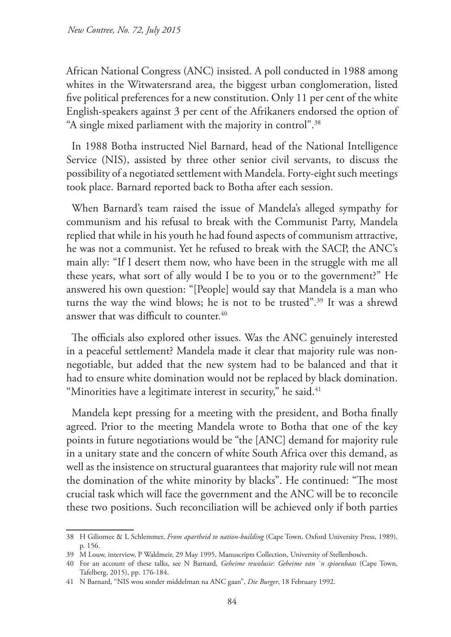African National Congress (ANC) insisted. A poll conducted in 1988 among whites in the Witwatersrand area, the biggest urban conglomeration, listed five political preferences for a new constitution. Only 11 per cent of the white English-speakers against 3 per cent of the Afrikaners endorsed the option of "A single mixed parliament with the majority in control".38

In 1988 Botha instructed Niel Barnard, head of the National Intelligence Service (NIS), assisted by three other senior civil servants, to discuss the possibility of a negotiated settlement with Mandela. Forty-eight such meetings took place. Barnard reported back to Botha after each session.

When Barnard's team raised the issue of Mandela's alleged sympathy for communism and his refusal to break with the Communist Party, Mandela replied that while in his youth he had found aspects of communism attractive, he was not a communist. Yet he refused to break with the SACP, the ANC's main ally: "If I desert them now, who have been in the struggle with me all these years, what sort of ally would I be to you or to the government?" He answered his own question: "[People] would say that Mandela is a man who turns the way the wind blows; he is not to be trusted".39 It was a shrewd answer that was difficult to counter.<sup>40</sup>

The officials also explored other issues. Was the ANC genuinely interested in a peaceful settlement? Mandela made it clear that majority rule was nonnegotiable, but added that the new system had to be balanced and that it had to ensure white domination would not be replaced by black domination. "Minorities have a legitimate interest in security," he said.<sup>41</sup>

Mandela kept pressing for a meeting with the president, and Botha finally agreed. Prior to the meeting Mandela wrote to Botha that one of the key points in future negotiations would be "the [ANC] demand for majority rule in a unitary state and the concern of white South Africa over this demand, as well as the insistence on structural guarantees that majority rule will not mean the domination of the white minority by blacks". He continued: "The most crucial task which will face the government and the ANC will be to reconcile these two positions. Such reconciliation will be achieved only if both parties

<sup>38</sup> H Giliomee & L Schlemmer, *From apartheid to nation-building* (Cape Town, Oxford University Press, 1989), p. 156.

<sup>39</sup> M Louw, interview, P Waldmeir, 29 May 1995, Manuscripts Collection, University of Stellenbosch.

<sup>40</sup> For an account of these talks, see N Barnard, *Geheime rewolusie: Geheime van `n spioenbaas* (Cape Town, Tafelberg, 2015), pp. 176-184.

<sup>41</sup> N Barnard, "NIS wou sonder middelman na ANC gaan", *Die Burger*, 18 February 1992.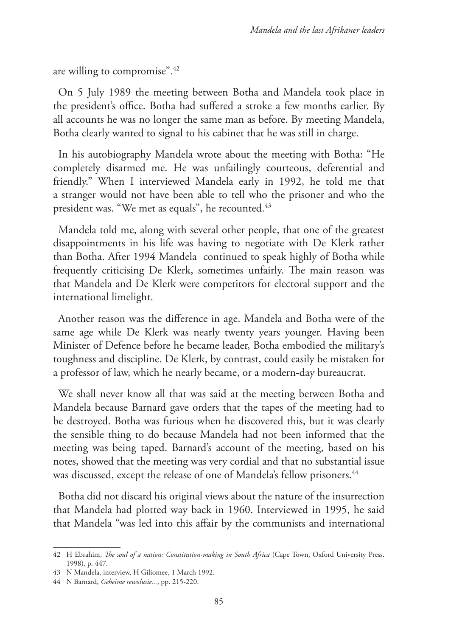are willing to compromise".42

On 5 July 1989 the meeting between Botha and Mandela took place in the president's office. Botha had suffered a stroke a few months earlier. By all accounts he was no longer the same man as before. By meeting Mandela, Botha clearly wanted to signal to his cabinet that he was still in charge.

In his autobiography Mandela wrote about the meeting with Botha: "He completely disarmed me. He was unfailingly courteous, deferential and friendly." When I interviewed Mandela early in 1992, he told me that a stranger would not have been able to tell who the prisoner and who the president was. "We met as equals", he recounted.<sup>43</sup>

Mandela told me, along with several other people, that one of the greatest disappointments in his life was having to negotiate with De Klerk rather than Botha. After 1994 Mandela continued to speak highly of Botha while frequently criticising De Klerk, sometimes unfairly. The main reason was that Mandela and De Klerk were competitors for electoral support and the international limelight.

Another reason was the difference in age. Mandela and Botha were of the same age while De Klerk was nearly twenty years younger. Having been Minister of Defence before he became leader, Botha embodied the military's toughness and discipline. De Klerk, by contrast, could easily be mistaken for a professor of law, which he nearly became, or a modern-day bureaucrat.

We shall never know all that was said at the meeting between Botha and Mandela because Barnard gave orders that the tapes of the meeting had to be destroyed. Botha was furious when he discovered this, but it was clearly the sensible thing to do because Mandela had not been informed that the meeting was being taped. Barnard's account of the meeting, based on his notes, showed that the meeting was very cordial and that no substantial issue was discussed, except the release of one of Mandela's fellow prisoners.<sup>44</sup>

Botha did not discard his original views about the nature of the insurrection that Mandela had plotted way back in 1960. Interviewed in 1995, he said that Mandela "was led into this affair by the communists and international

<sup>42</sup> H Ebrahim, *The soul of a nation: Constitution-making in South Africa* (Cape Town, Oxford University Press. 1998), p. 447.

<sup>43</sup> N Mandela, interview, H Giliomee, 1 March 1992.

<sup>44</sup> N Barnard, *Geheime rewolusie...*, pp. 215-220.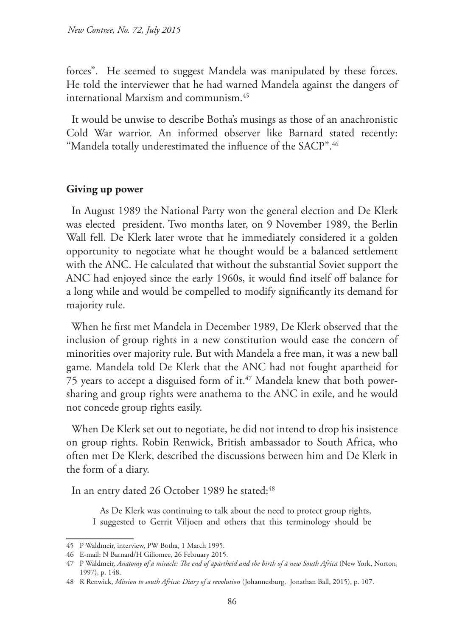forces". He seemed to suggest Mandela was manipulated by these forces. He told the interviewer that he had warned Mandela against the dangers of international Marxism and communism.45

It would be unwise to describe Botha's musings as those of an anachronistic Cold War warrior. An informed observer like Barnard stated recently: "Mandela totally underestimated the influence of the SACP".46

#### **Giving up power**

In August 1989 the National Party won the general election and De Klerk was elected president. Two months later, on 9 November 1989, the Berlin Wall fell. De Klerk later wrote that he immediately considered it a golden opportunity to negotiate what he thought would be a balanced settlement with the ANC. He calculated that without the substantial Soviet support the ANC had enjoyed since the early 1960s, it would find itself off balance for a long while and would be compelled to modify significantly its demand for majority rule.

When he first met Mandela in December 1989, De Klerk observed that the inclusion of group rights in a new constitution would ease the concern of minorities over majority rule. But with Mandela a free man, it was a new ball game. Mandela told De Klerk that the ANC had not fought apartheid for 75 years to accept a disguised form of it.<sup>47</sup> Mandela knew that both powersharing and group rights were anathema to the ANC in exile, and he would not concede group rights easily.

When De Klerk set out to negotiate, he did not intend to drop his insistence on group rights. Robin Renwick, British ambassador to South Africa, who often met De Klerk, described the discussions between him and De Klerk in the form of a diary.

In an entry dated 26 October 1989 he stated:48

As De Klerk was continuing to talk about the need to protect group rights, I suggested to Gerrit Viljoen and others that this terminology should be

<sup>45</sup> P Waldmeir, interview, PW Botha, 1 March 1995.

<sup>46</sup> E-mail: N Barnard/H Giliomee, 26 February 2015.

<sup>47</sup> P Waldmeir, *Anatomy of a miracle: The end of apartheid and the birth of a new South Africa* (New York, Norton, 1997), p. 148.

<sup>48</sup> R Renwick, *Mission to south Africa: Diary of a revolution* (Johannesburg, Jonathan Ball, 2015), p. 107.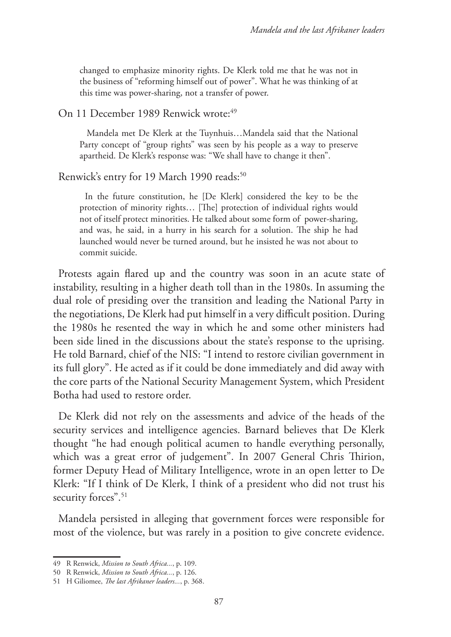changed to emphasize minority rights. De Klerk told me that he was not in the business of "reforming himself out of power". What he was thinking of at this time was power-sharing, not a transfer of power.

#### On 11 December 1989 Renwick wrote:<sup>49</sup>

Mandela met De Klerk at the Tuynhuis…Mandela said that the National Party concept of "group rights" was seen by his people as a way to preserve apartheid. De Klerk's response was: "We shall have to change it then".

# Renwick's entry for 19 March 1990 reads:<sup>50</sup>

In the future constitution, he [De Klerk] considered the key to be the protection of minority rights… [The] protection of individual rights would not of itself protect minorities. He talked about some form of power-sharing, and was, he said, in a hurry in his search for a solution. The ship he had launched would never be turned around, but he insisted he was not about to commit suicide.

Protests again flared up and the country was soon in an acute state of instability, resulting in a higher death toll than in the 1980s. In assuming the dual role of presiding over the transition and leading the National Party in the negotiations, De Klerk had put himself in a very difficult position. During the 1980s he resented the way in which he and some other ministers had been side lined in the discussions about the state's response to the uprising. He told Barnard, chief of the NIS: "I intend to restore civilian government in its full glory". He acted as if it could be done immediately and did away with the core parts of the National Security Management System, which President Botha had used to restore order.

De Klerk did not rely on the assessments and advice of the heads of the security services and intelligence agencies. Barnard believes that De Klerk thought "he had enough political acumen to handle everything personally, which was a great error of judgement". In 2007 General Chris Thirion, former Deputy Head of Military Intelligence, wrote in an open letter to De Klerk: "If I think of De Klerk, I think of a president who did not trust his security forces".<sup>51</sup>

Mandela persisted in alleging that government forces were responsible for most of the violence, but was rarely in a position to give concrete evidence.

<sup>49</sup> R Renwick, *Mission to South Africa...*, p. 109.

<sup>50</sup> R Renwick, *Mission to South Africa...*, p. 126.

<sup>51</sup> H Giliomee, *The last Afrikaner leaders...*, p. 368.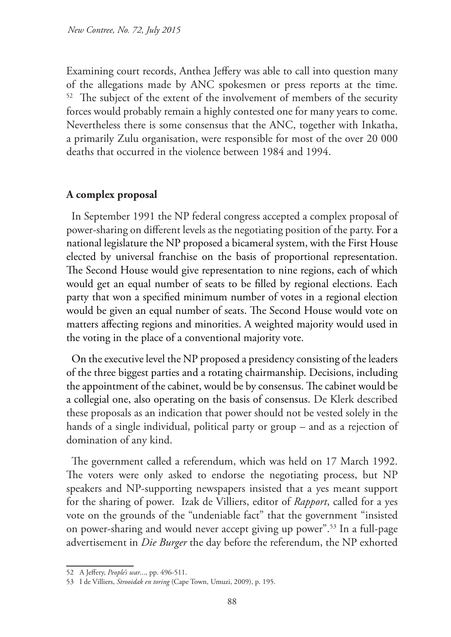Examining court records, Anthea Jeffery was able to call into question many of the allegations made by ANC spokesmen or press reports at the time. <sup>52</sup> The subject of the extent of the involvement of members of the security forces would probably remain a highly contested one for many years to come. Nevertheless there is some consensus that the ANC, together with Inkatha, a primarily Zulu organisation, were responsible for most of the over 20 000 deaths that occurred in the violence between 1984 and 1994.

### **A complex proposal**

In September 1991 the NP federal congress accepted a complex proposal of power-sharing on different levels as the negotiating position of the party. For a national legislature the NP proposed a bicameral system, with the First House elected by universal franchise on the basis of proportional representation. The Second House would give representation to nine regions, each of which would get an equal number of seats to be filled by regional elections. Each party that won a specified minimum number of votes in a regional election would be given an equal number of seats. The Second House would vote on matters affecting regions and minorities. A weighted majority would used in the voting in the place of a conventional majority vote.

On the executive level the NP proposed a presidency consisting of the leaders of the three biggest parties and a rotating chairmanship. Decisions, including the appointment of the cabinet, would be by consensus. The cabinet would be a collegial one, also operating on the basis of consensus. De Klerk described these proposals as an indication that power should not be vested solely in the hands of a single individual, political party or group – and as a rejection of domination of any kind.

The government called a referendum, which was held on 17 March 1992. The voters were only asked to endorse the negotiating process, but NP speakers and NP-supporting newspapers insisted that a yes meant support for the sharing of power. Izak de Villiers, editor of *Rapport*, called for a yes vote on the grounds of the "undeniable fact" that the government "insisted on power-sharing and would never accept giving up power".53 In a full-page advertisement in *Die Burger* the day before the referendum, the NP exhorted

<sup>52</sup> A Jeffery, *People's war*..., pp. 496-511.

<sup>53</sup> I de Villiers, *Strooidak en toring* (Cape Town, Umuzi, 2009), p. 195.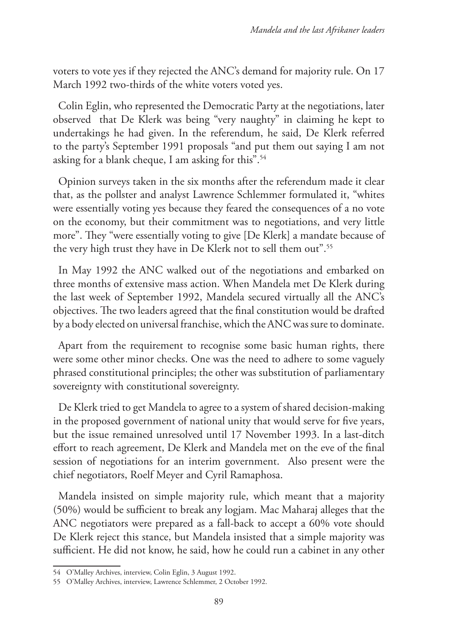voters to vote yes if they rejected the ANC's demand for majority rule. On 17 March 1992 two-thirds of the white voters voted yes.

Colin Eglin, who represented the Democratic Party at the negotiations, later observed that De Klerk was being "very naughty" in claiming he kept to undertakings he had given. In the referendum, he said, De Klerk referred to the party's September 1991 proposals "and put them out saying I am not asking for a blank cheque, I am asking for this".54

Opinion surveys taken in the six months after the referendum made it clear that, as the pollster and analyst Lawrence Schlemmer formulated it, "whites were essentially voting yes because they feared the consequences of a no vote on the economy, but their commitment was to negotiations, and very little more". They "were essentially voting to give [De Klerk] a mandate because of the very high trust they have in De Klerk not to sell them out".<sup>55</sup>

In May 1992 the ANC walked out of the negotiations and embarked on three months of extensive mass action. When Mandela met De Klerk during the last week of September 1992, Mandela secured virtually all the ANC's objectives. The two leaders agreed that the final constitution would be drafted by a body elected on universal franchise, which the ANC was sure to dominate.

Apart from the requirement to recognise some basic human rights, there were some other minor checks. One was the need to adhere to some vaguely phrased constitutional principles; the other was substitution of parliamentary sovereignty with constitutional sovereignty.

De Klerk tried to get Mandela to agree to a system of shared decision-making in the proposed government of national unity that would serve for five years, but the issue remained unresolved until 17 November 1993. In a last-ditch effort to reach agreement, De Klerk and Mandela met on the eve of the final session of negotiations for an interim government. Also present were the chief negotiators, Roelf Meyer and Cyril Ramaphosa.

Mandela insisted on simple majority rule, which meant that a majority (50%) would be sufficient to break any logjam. Mac Maharaj alleges that the ANC negotiators were prepared as a fall-back to accept a 60% vote should De Klerk reject this stance, but Mandela insisted that a simple majority was sufficient. He did not know, he said, how he could run a cabinet in any other

<sup>54</sup> O'Malley Archives, interview, Colin Eglin, 3 August 1992.

<sup>55</sup> O'Malley Archives, interview, Lawrence Schlemmer, 2 October 1992.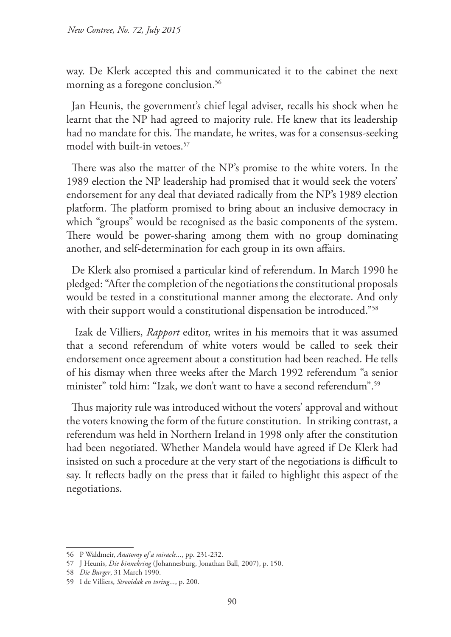way. De Klerk accepted this and communicated it to the cabinet the next morning as a foregone conclusion.<sup>56</sup>

Jan Heunis, the government's chief legal adviser, recalls his shock when he learnt that the NP had agreed to majority rule. He knew that its leadership had no mandate for this. The mandate, he writes, was for a consensus-seeking model with built-in vetoes.<sup>57</sup>

There was also the matter of the NP's promise to the white voters. In the 1989 election the NP leadership had promised that it would seek the voters' endorsement for any deal that deviated radically from the NP's 1989 election platform. The platform promised to bring about an inclusive democracy in which "groups" would be recognised as the basic components of the system. There would be power-sharing among them with no group dominating another, and self-determination for each group in its own affairs.

De Klerk also promised a particular kind of referendum. In March 1990 he pledged: "After the completion of the negotiations the constitutional proposals would be tested in a constitutional manner among the electorate. And only with their support would a constitutional dispensation be introduced."<sup>58</sup>

 Izak de Villiers, *Rapport* editor, writes in his memoirs that it was assumed that a second referendum of white voters would be called to seek their endorsement once agreement about a constitution had been reached. He tells of his dismay when three weeks after the March 1992 referendum "a senior minister" told him: "Izak, we don't want to have a second referendum".<sup>59</sup>

Thus majority rule was introduced without the voters' approval and without the voters knowing the form of the future constitution. In striking contrast, a referendum was held in Northern Ireland in 1998 only after the constitution had been negotiated. Whether Mandela would have agreed if De Klerk had insisted on such a procedure at the very start of the negotiations is difficult to say. It reflects badly on the press that it failed to highlight this aspect of the negotiations.

<sup>56</sup> P Waldmeir, *Anatomy of a miracle...*, pp. 231-232.

<sup>57</sup> J Heunis, *Die binnekring* (Johannesburg, Jonathan Ball, 2007), p. 150.

<sup>58</sup> *Die Burger*, 31 March 1990.

<sup>59</sup> I de Villiers, *Strooidak en toring...*, p. 200.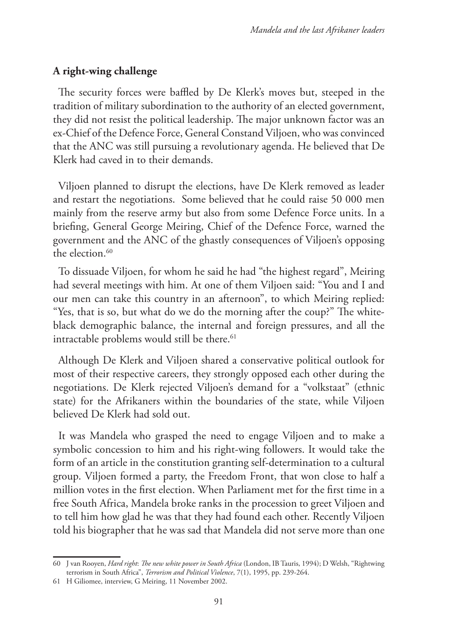# **A right-wing challenge**

The security forces were baffled by De Klerk's moves but, steeped in the tradition of military subordination to the authority of an elected government, they did not resist the political leadership. The major unknown factor was an ex-Chief of the Defence Force, General Constand Viljoen, who was convinced that the ANC was still pursuing a revolutionary agenda. He believed that De Klerk had caved in to their demands.

Viljoen planned to disrupt the elections, have De Klerk removed as leader and restart the negotiations. Some believed that he could raise 50 000 men mainly from the reserve army but also from some Defence Force units. In a briefing, General George Meiring, Chief of the Defence Force, warned the government and the ANC of the ghastly consequences of Viljoen's opposing the election. $60$ 

To dissuade Viljoen, for whom he said he had "the highest regard", Meiring had several meetings with him. At one of them Viljoen said: "You and I and our men can take this country in an afternoon", to which Meiring replied: "Yes, that is so, but what do we do the morning after the coup?" The whiteblack demographic balance, the internal and foreign pressures, and all the intractable problems would still be there.<sup>61</sup>

Although De Klerk and Viljoen shared a conservative political outlook for most of their respective careers, they strongly opposed each other during the negotiations. De Klerk rejected Viljoen's demand for a "volkstaat" (ethnic state) for the Afrikaners within the boundaries of the state, while Viljoen believed De Klerk had sold out.

It was Mandela who grasped the need to engage Viljoen and to make a symbolic concession to him and his right-wing followers. It would take the form of an article in the constitution granting self-determination to a cultural group. Viljoen formed a party, the Freedom Front, that won close to half a million votes in the first election. When Parliament met for the first time in a free South Africa, Mandela broke ranks in the procession to greet Viljoen and to tell him how glad he was that they had found each other. Recently Viljoen told his biographer that he was sad that Mandela did not serve more than one

<sup>60</sup> J van Rooyen, *Hard right*: *The new white power in South Africa* (London, IB Tauris, 1994); D Welsh, "Rightwing terrorism in South Africa", *Terrorism and Political Violence*, 7(1), 1995, pp. 239-264.

<sup>61</sup> H Giliomee, interview, G Meiring, 11 November 2002.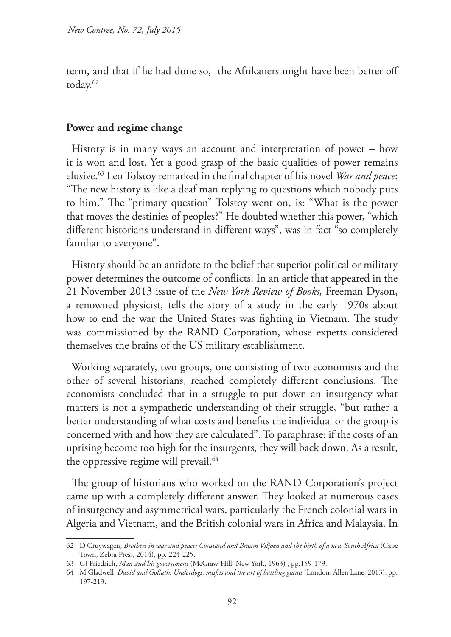term, and that if he had done so, the Afrikaners might have been better off today.62

### **Power and regime change**

History is in many ways an account and interpretation of power – how it is won and lost. Yet a good grasp of the basic qualities of power remains elusive.63 Leo Tolstoy remarked in the final chapter of his novel *War and peace*: "The new history is like a deaf man replying to questions which nobody puts to him." The "primary question" Tolstoy went on, is: "What is the power that moves the destinies of peoples?" He doubted whether this power, "which different historians understand in different ways", was in fact "so completely familiar to everyone".

History should be an antidote to the belief that superior political or military power determines the outcome of conflicts. In an article that appeared in the 21 November 2013 issue of the *New York Review of Books,* Freeman Dyson, a renowned physicist, tells the story of a study in the early 1970s about how to end the war the United States was fighting in Vietnam. The study was commissioned by the RAND Corporation, whose experts considered themselves the brains of the US military establishment.

Working separately, two groups, one consisting of two economists and the other of several historians, reached completely different conclusions. The economists concluded that in a struggle to put down an insurgency what matters is not a sympathetic understanding of their struggle, "but rather a better understanding of what costs and benefits the individual or the group is concerned with and how they are calculated". To paraphrase: if the costs of an uprising become too high for the insurgents, they will back down. As a result, the oppressive regime will prevail.<sup>64</sup>

The group of historians who worked on the RAND Corporation's project came up with a completely different answer. They looked at numerous cases of insurgency and asymmetrical wars, particularly the French colonial wars in Algeria and Vietnam, and the British colonial wars in Africa and Malaysia. In

<sup>62</sup> D Cruywagen, *Brothers in war and peace: Constand and Braam Viljoen and the birth of a new South Africa* (Cape Town, Zebra Press, 2014), pp. 224-225.

<sup>63</sup> CJ Friedrich, *Man and his government* (McGraw-Hill, New York, 1963) , pp.159-179.

<sup>64</sup> M Gladwell, *David and Goliath: Underdogs, misfits and the art of battling giants* (London, Allen Lane, 2013), pp. 197-213.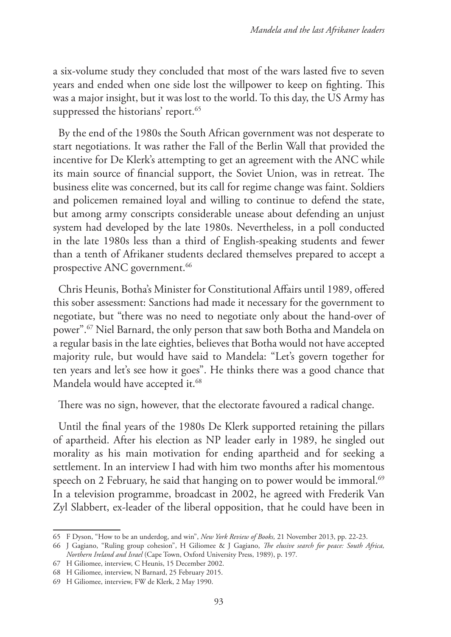a six-volume study they concluded that most of the wars lasted five to seven years and ended when one side lost the willpower to keep on fighting. This was a major insight, but it was lost to the world. To this day, the US Army has suppressed the historians' report.<sup>65</sup>

By the end of the 1980s the South African government was not desperate to start negotiations. It was rather the Fall of the Berlin Wall that provided the incentive for De Klerk's attempting to get an agreement with the ANC while its main source of financial support, the Soviet Union, was in retreat. The business elite was concerned, but its call for regime change was faint. Soldiers and policemen remained loyal and willing to continue to defend the state, but among army conscripts considerable unease about defending an unjust system had developed by the late 1980s. Nevertheless, in a poll conducted in the late 1980s less than a third of English-speaking students and fewer than a tenth of Afrikaner students declared themselves prepared to accept a prospective ANC government.<sup>66</sup>

Chris Heunis, Botha's Minister for Constitutional Affairs until 1989, offered this sober assessment: Sanctions had made it necessary for the government to negotiate, but "there was no need to negotiate only about the hand-over of power".67 Niel Barnard, the only person that saw both Botha and Mandela on a regular basis in the late eighties, believes that Botha would not have accepted majority rule, but would have said to Mandela: "Let's govern together for ten years and let's see how it goes". He thinks there was a good chance that Mandela would have accepted it.<sup>68</sup>

There was no sign, however, that the electorate favoured a radical change.

Until the final years of the 1980s De Klerk supported retaining the pillars of apartheid. After his election as NP leader early in 1989, he singled out morality as his main motivation for ending apartheid and for seeking a settlement. In an interview I had with him two months after his momentous speech on 2 February, he said that hanging on to power would be immoral.<sup>69</sup> In a television programme, broadcast in 2002, he agreed with Frederik Van Zyl Slabbert, ex-leader of the liberal opposition, that he could have been in

<sup>65</sup> F Dyson, "How to be an underdog, and win", *New York Review of Books,* 21 November 2013, pp. 22-23.

<sup>66</sup> J Gagiano, "Ruling group cohesion", H Giliomee & J Gagiano, *The elusive search for peace: South Africa, Northern Ireland and Israel* (Cape Town, Oxford University Press, 1989), p. 197*.*

<sup>67</sup> H Giliomee, interview, C Heunis, 15 December 2002.

<sup>68</sup> H Giliomee, interview, N Barnard, 25 February 2015.

<sup>69</sup> H Giliomee, interview, FW de Klerk, 2 May 1990.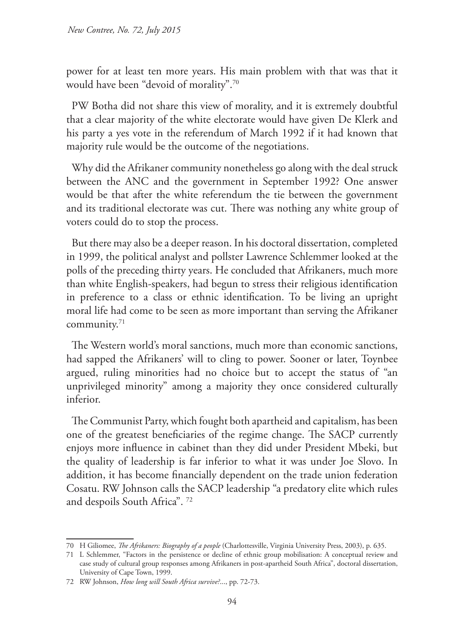power for at least ten more years. His main problem with that was that it would have been "devoid of morality".70

PW Botha did not share this view of morality, and it is extremely doubtful that a clear majority of the white electorate would have given De Klerk and his party a yes vote in the referendum of March 1992 if it had known that majority rule would be the outcome of the negotiations.

Why did the Afrikaner community nonetheless go along with the deal struck between the ANC and the government in September 1992? One answer would be that after the white referendum the tie between the government and its traditional electorate was cut. There was nothing any white group of voters could do to stop the process.

But there may also be a deeper reason. In his doctoral dissertation, completed in 1999, the political analyst and pollster Lawrence Schlemmer looked at the polls of the preceding thirty years. He concluded that Afrikaners, much more than white English-speakers, had begun to stress their religious identification in preference to a class or ethnic identification. To be living an upright moral life had come to be seen as more important than serving the Afrikaner community.71

The Western world's moral sanctions, much more than economic sanctions, had sapped the Afrikaners' will to cling to power. Sooner or later, Toynbee argued, ruling minorities had no choice but to accept the status of "an unprivileged minority" among a majority they once considered culturally inferior.

The Communist Party, which fought both apartheid and capitalism, has been one of the greatest beneficiaries of the regime change. The SACP currently enjoys more influence in cabinet than they did under President Mbeki, but the quality of leadership is far inferior to what it was under Joe Slovo. In addition, it has become financially dependent on the trade union federation Cosatu. RW Johnson calls the SACP leadership "a predatory elite which rules and despoils South Africa". 72

<sup>70</sup> H Giliomee, *The Afrikaners: Biography of a people* (Charlottesville, Virginia University Press, 2003), p. 635.

<sup>71</sup> L Schlemmer, "Factors in the persistence or decline of ethnic group mobilisation: A conceptual review and case study of cultural group responses among Afrikaners in post-apartheid South Africa", doctoral dissertation, University of Cape Town, 1999.

<sup>72</sup> RW Johnson, *How long will South Africa survive?*..., pp. 72-73.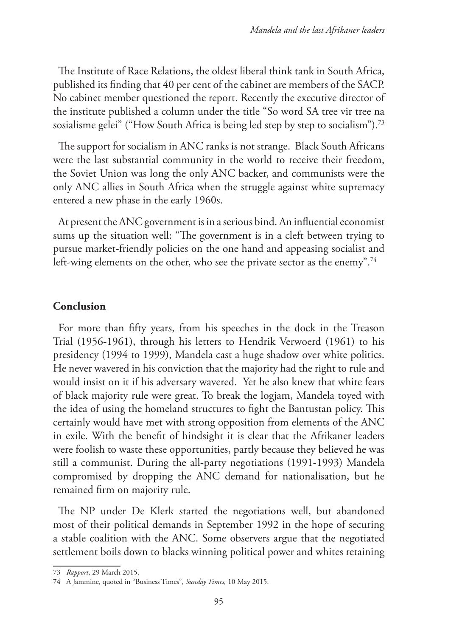The Institute of Race Relations, the oldest liberal think tank in South Africa, published its finding that 40 per cent of the cabinet are members of the SACP. No cabinet member questioned the report. Recently the executive director of the institute published a column under the title "So word SA tree vir tree na sosialisme gelei" ("How South Africa is being led step by step to socialism").<sup>73</sup>

The support for socialism in ANC ranks is not strange. Black South Africans were the last substantial community in the world to receive their freedom, the Soviet Union was long the only ANC backer, and communists were the only ANC allies in South Africa when the struggle against white supremacy entered a new phase in the early 1960s.

At present the ANC government is in a serious bind. An influential economist sums up the situation well: "The government is in a cleft between trying to pursue market-friendly policies on the one hand and appeasing socialist and left-wing elements on the other, who see the private sector as the enemy".<sup>74</sup>

### **Conclusion**

For more than fifty years, from his speeches in the dock in the Treason Trial (1956-1961), through his letters to Hendrik Verwoerd (1961) to his presidency (1994 to 1999), Mandela cast a huge shadow over white politics. He never wavered in his conviction that the majority had the right to rule and would insist on it if his adversary wavered. Yet he also knew that white fears of black majority rule were great. To break the logjam, Mandela toyed with the idea of using the homeland structures to fight the Bantustan policy. This certainly would have met with strong opposition from elements of the ANC in exile. With the benefit of hindsight it is clear that the Afrikaner leaders were foolish to waste these opportunities, partly because they believed he was still a communist. During the all-party negotiations (1991-1993) Mandela compromised by dropping the ANC demand for nationalisation, but he remained firm on majority rule.

The NP under De Klerk started the negotiations well, but abandoned most of their political demands in September 1992 in the hope of securing a stable coalition with the ANC. Some observers argue that the negotiated settlement boils down to blacks winning political power and whites retaining

<sup>73</sup> *Rapport*, 29 March 2015.

<sup>74</sup> A Jammine, quoted in "Business Times", *Sunday Times,* 10 May 2015.